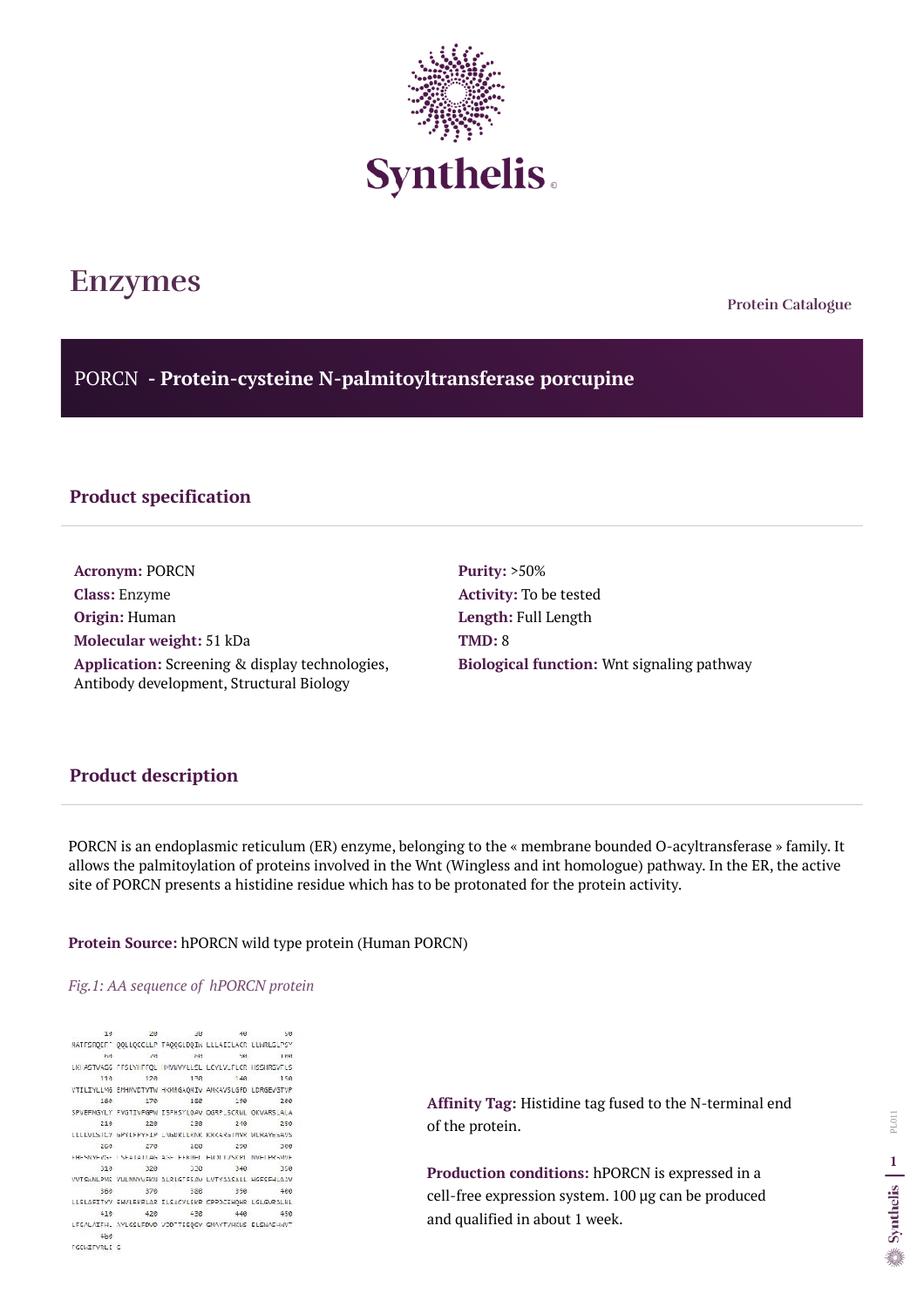**Protein Catalogue**

## PORCN **- Protein-cysteine N-palmitoyltransferase porcupine**



# **Enzymes**

#### **Product specification**

**Acronym:** PORCN **Class:** Enzyme **Origin:** Human **Molecular weight:** 51 kDa **Application:** Screening & display technologies, Antibody development, Structural Biology

**Purity:** >50% **Activity:** To be tested **Length:** Full Length **TMD:** 8 **Biological function:** Wnt signaling pathway

PORCN is an endoplasmic reticulum (ER) enzyme, belonging to the « membrane bounded O-acyltransferase » family. It allows the palmitoylation of proteins involved in the Wnt (Wingless and int homologue) pathway. In the ER, the active site of PORCN presents a histidine residue which has to be protonated for the protein activity.

**Protein Source:** hPORCN wild type protein (Human PORCN)

#### *Fig.1: AA sequence of hPORCN protein*

19 20 30 40  $50$ MATESRQEFT QQLLQGCLLP TAQQGLDQIW LLLAICLACR LLWRLGLPSY **FINE 799 PM PMP 914** THM LKI ASTVAGG FFSLYHFFQL IMWWVLLSL LCYLVLFLCR HISSIRGVFLS  $178$   $148$ 118  $128$ 150 VIILIYLLMS EMHMVDTVTW HKMRGAQNIV AMKAVSLGFD LDRGEVSTVP 169 170 190 190 200 SPVEFMGYLY FVGTIVFGPW ISFHSYLQAV QGRPLSCRML QKVARSLALA 220 230 240 219 250 LLCLVLSTCV GPYLFPYFIP LVGDKLLKAK KRKARSTNYK WLRAYESAVS 260 270 260 290 380 ERENNYEIGE INFATATIAG AGE EERDEL END LYSKEL NUELERSNYE 310 320 320 340 350 VVTSKNLPMS YHLNNYVFKN ALRLGTFSAV LVTYAASALL HGFSFHLAAV 368 370 388 398 400 LLSLAFITY/ EHVLRKRLAR ILSACVLSKR CPPOCSHOHR LGLGVRALNL 410 420 430 440 450 LFGALAIFH. AYLGSLFDVD VODTTEEQGY GMAYTVHKWS ELSWASHWYT  $460$ **FGCWIFYRLE G** 

**Affinity Tag:** Histidine tag fused to the N-terminal end of the protein.

**Production conditions:** hPORCN is expressed in a cell-free expression system. 100 µg can be produced and qualified in about 1 week.